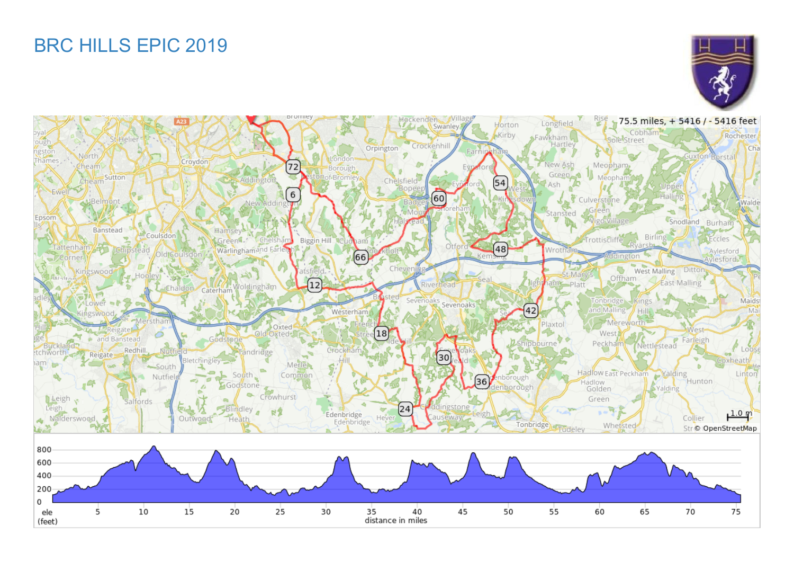# BRC HILLS EPIC 2019



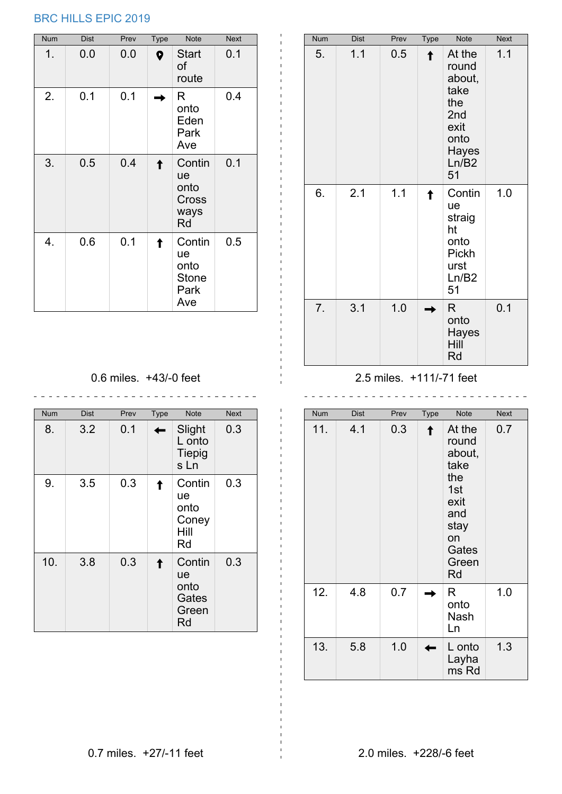## BRC HILLS EPIC 2019

| Num | <b>Dist</b> | Prev | <b>Type</b> | Note                                                | <b>Next</b> |
|-----|-------------|------|-------------|-----------------------------------------------------|-------------|
| 1.  | 0.0         | 0.0  | 9           | <b>Start</b><br>of<br>route                         | 0.1         |
| 2.  | 0.1         | 0.1  |             | R<br>onto<br>Eden<br>Park<br>Ave                    | 0.4         |
| 3.  | 0.5         | 0.4  |             | Contin<br>ue<br>onto<br>Cross<br>ways<br>Rd         | 0.1         |
| 4.  | 0.6         | 0.1  |             | Contin<br>ue<br>onto<br><b>Stone</b><br>Park<br>Ave | 0.5         |

| Num | Dist | Prev | Type | Note                                                                                    | <b>Next</b> |
|-----|------|------|------|-----------------------------------------------------------------------------------------|-------------|
| 5.  | 1.1  | 0.5  |      | At the<br>round<br>about,<br>take<br>the<br>2nd<br>exit<br>onto<br>Hayes<br>Ln/B2<br>51 | 1.1         |
| 6.  | 2.1  | 1.1  |      | Contin<br>ue<br>straig<br>ht<br>onto<br>Pickh<br>urst<br>Ln/B2<br>51                    | 1.0         |
| 7.  | 3.1  | 1.0  |      | R.<br>onto<br>Hayes<br>Hill<br>Rd                                                       | 0.1         |

0.6 miles. +43/-0 feet

| <b>Num</b> | <b>Dist</b> | Prev | <b>Type</b> | <b>Note</b>                                  | <b>Next</b> |
|------------|-------------|------|-------------|----------------------------------------------|-------------|
| 8.         | 3.2         | 0.1  |             | Slight<br>L onto<br><b>Tiepig</b><br>s Ln    | 0.3         |
| 9.         | 3.5         | 0.3  |             | Contin<br>ue<br>onto<br>Coney<br>Hill<br>Rd  | 0.3         |
| 10.        | 3.8         | 0.3  |             | Contin<br>ue<br>onto<br>Gates<br>Green<br>Rd | 0.3         |

#### 2.5 miles. +111/-71 feet

| <b>Num</b> | <b>Dist</b> | Prev | Type | <b>Note</b>                                                                                          | <b>Next</b> |
|------------|-------------|------|------|------------------------------------------------------------------------------------------------------|-------------|
| 11.        | 4.1         | 0.3  |      | At the<br>round<br>about,<br>take<br>the<br>1st<br>exit<br>and<br>stay<br>on<br>Gates<br>Green<br>Rd | 0.7         |
| 12.        | 4.8         | 0.7  |      | R<br>onto<br>Nash<br>Ln                                                                              | 1.0         |
| 13.        | 5.8         | 1.0  |      | L onto<br>Layha<br>ms Rd                                                                             | 1.3         |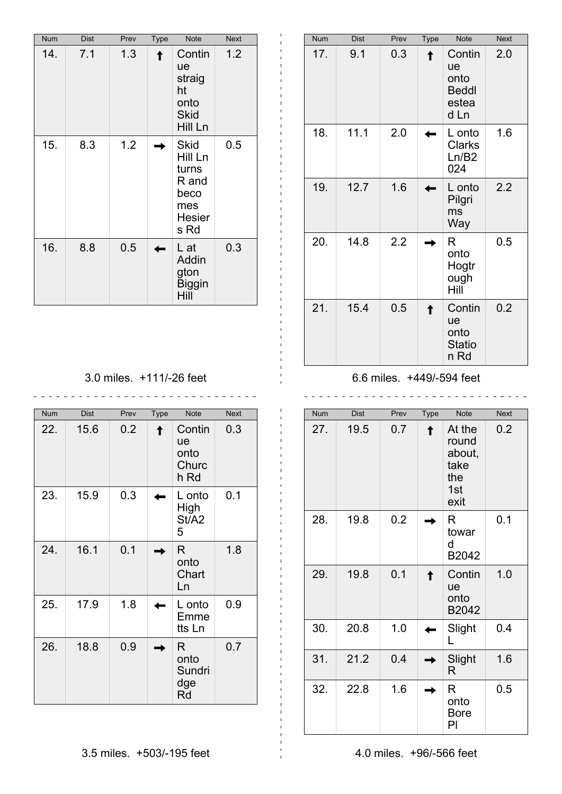| Num | <b>Dist</b> | Prev | Type | Note                                                                             | <b>Next</b> |
|-----|-------------|------|------|----------------------------------------------------------------------------------|-------------|
| 14. | 7.1         | 1.3  |      | Contin<br>ue<br>straig<br>ht<br>onto<br><b>Skid</b><br>Hill Ln                   | 1.2         |
| 15. | 8.3         | 1.2  |      | <b>Skid</b><br>Hill Ln<br>turns<br>R and<br>beco<br>mes<br><b>Hesier</b><br>s Rd | 0.5         |
| 16. | 8.8         | 0.5  |      | L at<br>Addin<br>gton<br><b>Biggin</b><br>Hill                                   | 0.3         |

| Num | <b>Dist</b> | Prev | Type | Note                                                         | <b>Next</b> |
|-----|-------------|------|------|--------------------------------------------------------------|-------------|
| 17. | 9.1         | 0.3  |      | Contin<br><b>ue</b><br>onto<br><b>Beddl</b><br>estea<br>d Ln | 2.0         |
| 18. | 11.1        | 2.0  |      | L onto<br>Clarks<br>Ln/B2<br>024                             | 1.6         |
| 19. | 12.7        | 1.6  |      | L onto<br>Pilgri<br>ms<br>Way                                | 2.2         |
| 20. | 14.8        | 2.2  |      | R<br>onto<br>Hogtr<br>ough<br>Hill                           | 0.5         |
| 21. | 15.4        | 0.5  |      | Contin<br>ue<br>onto<br><b>Statio</b><br>n Rd                | 0.2         |

3.0 miles. +111/-26 feet

| Num | <b>Dist</b> | Prev | Type | <b>Note</b>                           | <b>Next</b> |
|-----|-------------|------|------|---------------------------------------|-------------|
| 22. | 15.6        | 0.2  |      | Contin<br>ue<br>onto<br>Churc<br>h Rd | 0.3         |
| 23. | 15.9        | 0.3  |      | L onto<br>High<br>St/A2<br>5          | 0.1         |
| 24. | 16.1        | 0.1  |      | R<br>onto<br>Chart<br>Ln              | 1.8         |
| 25. | 17.9        | 1.8  |      | L onto<br>Emme<br>tts Ln              | 0.9         |
| 26. | 18.8        | 0.9  |      | R<br>onto<br>Sundri<br>dge<br>Rd      | 0.7         |

6.6 miles. +449/-594 feet

 $\overline{a}$ 

 $\overline{a}$ 

 $\mathbf{r}$ 

Num Dist Prev Type Note Next 27. 19.5 0.7 **1.1 At the** round about, take the 1st exit 0.2 28. 19.8 0.2 R towar d B2042 0.1 29. 19.8 0.1 **■ Contin** ue onto B2042 1.0 30. 20.8 1.0 Slight L 0.4 31. 21.2 0.4 **Slight** R 1.6 32. 22.8 1.6 R onto Bore Pl 0.5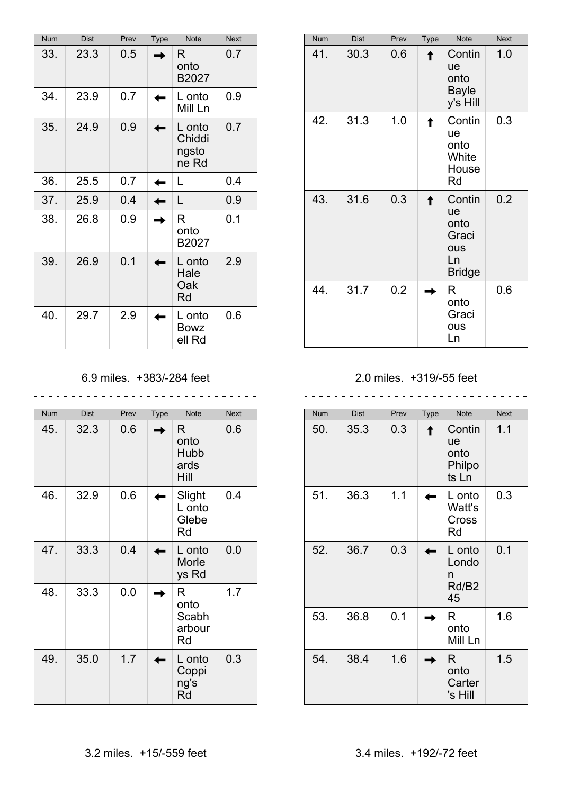| <b>Num</b> | <b>Dist</b> | Prev | <b>Type</b> | <b>Note</b>                        | <b>Next</b> |
|------------|-------------|------|-------------|------------------------------------|-------------|
| 33.        | 23.3        | 0.5  |             | R<br>onto<br>B2027                 | 0.7         |
| 34.        | 23.9        | 0.7  |             | L onto<br>Mill Ln                  | 0.9         |
| 35.        | 24.9        | 0.9  |             | L onto<br>Chiddi<br>ngsto<br>ne Rd | 0.7         |
| 36.        | 25.5        | 0.7  |             | L                                  | 0.4         |
| 37.        | 25.9        | 0.4  |             | L                                  | 0.9         |
| 38.        | 26.8        | 0.9  |             | R<br>onto<br>B2027                 | 0.1         |
| 39.        | 26.9        | 0.1  |             | L onto<br>Hale<br>Oak<br>Rd        | 2.9         |
| 40.        | 29.7        | 2.9  |             | L onto<br><b>Bowz</b><br>ell Rd    | 0.6         |

## 6.9 miles. +383/-284 feet

| <b>Num</b> | <b>Dist</b> | Prev | <b>Type</b> | <b>Note</b>                        | <b>Next</b> |
|------------|-------------|------|-------------|------------------------------------|-------------|
| 45.        | 32.3        | 0.6  |             | R.<br>onto<br>Hubb<br>ards<br>Hill | 0.6         |
| 46.        | 32.9        | 0.6  |             | Slight<br>L onto<br>Glebe<br>Rd    | 0.4         |
| 47.        | 33.3        | 0.4  |             | L onto<br>Morle<br>ys Rd           | 0.0         |
| 48.        | 33.3        | 0.0  |             | R<br>onto<br>Scabh<br>arbour<br>Rd | 1.7         |
| 49.        | 35.0        | 1.7  |             | L onto<br>Coppi<br>ng's<br>Rd      | 0.3         |

| Num | <b>Dist</b> | Prev | Type | <b>Note</b>                                                 | <b>Next</b> |
|-----|-------------|------|------|-------------------------------------------------------------|-------------|
| 41. | 30.3        | 0.6  |      | Contin<br><b>ue</b><br>onto<br><b>Bayle</b><br>y's Hill     | 1.0         |
| 42. | 31.3        | 1.0  |      | Contin<br>ue<br>onto<br>White<br>House<br>Rd                | 0.3         |
| 43. | 31.6        | 0.3  |      | Contin<br>ue<br>onto<br>Graci<br>ous<br>Ln<br><b>Bridge</b> | 0.2         |
| 44. | 31.7        | 0.2  |      | R<br>onto<br>Graci<br>ous<br>Ln                             | 0.6         |

#### 2.0 miles. +319/-55 feet

Num Dist Prev Type Note Next 50. 35.3 0.3 Contin ue onto Philpo ts Ln 1.1 51. 36.3 1.1 **I** L onto Watt's Cross Rd 0.3 52. 36.7 0.3 **L** L onto Londo n Rd/B2 45 0.1 53. 36.8 0.1 **R** onto Mill Ln 1.6  $54. \ 38.4 \ 1.6 \ \blacksquare \ R$ onto **Carter** 's Hill 1.5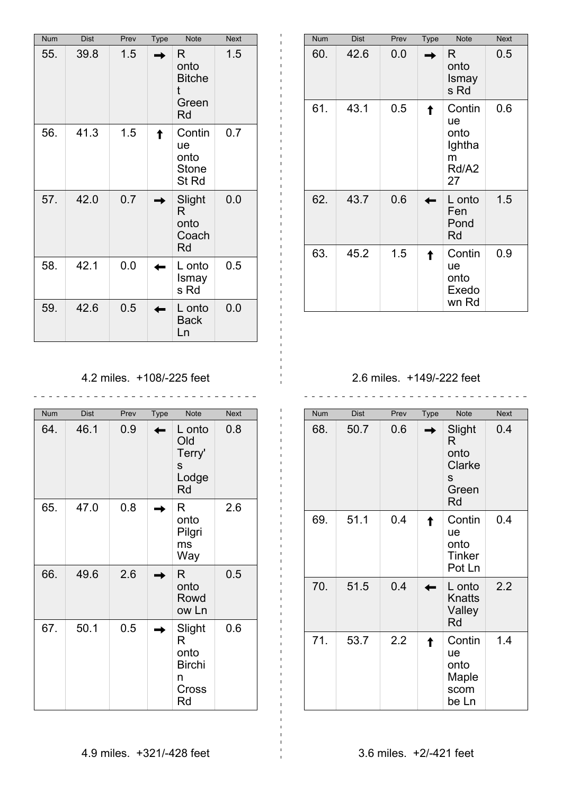| Num | <b>Dist</b> | Prev | Type | <b>Note</b>                                            | <b>Next</b> |
|-----|-------------|------|------|--------------------------------------------------------|-------------|
| 55. | 39.8        | 1.5  |      | R.<br>onto<br><b>Bitche</b><br>t<br>Green<br><b>Rd</b> | 1.5         |
| 56. | 41.3        | 1.5  |      | Contin<br>ue<br>onto<br><b>Stone</b><br>St Rd          | 0.7         |
| 57. | 42.0        | 0.7  |      | Slight<br>R<br>onto<br>Coach<br><b>Rd</b>              | 0.0         |
| 58. | 42.1        | 0.0  |      | L onto<br>Ismay<br>s Rd                                | 0.5         |
| 59. | 42.6        | 0.5  |      | L onto<br><b>Back</b><br>Ln                            | 0.0         |

| <b>Num</b> | <b>Dist</b> | Prev | Type | <b>Note</b>                                        | <b>Next</b> |
|------------|-------------|------|------|----------------------------------------------------|-------------|
| 60.        | 42.6        | 0.0  |      | R.<br>onto<br>Ismay<br>s Rd                        | 0.5         |
| 61.        | 43.1        | 0.5  |      | Contin<br>ue<br>onto<br>Ightha<br>m<br>Rd/A2<br>27 | 0.6         |
| 62.        | 43.7        | 0.6  |      | L onto<br>Fen<br>Pond<br>Rd                        | 1.5         |
| 63.        | 45.2        | 1.5  |      | Contin<br>ue<br>onto<br>Exedo<br>wn Rd             | 0.9         |

4.2 miles. +108/-225 feet

\_\_\_\_\_\_\_\_\_\_\_\_\_\_\_\_\_\_\_\_\_\_\_\_\_\_\_\_\_\_\_

| <b>Num</b> | <b>Dist</b> | Prev | Type | <b>Note</b>                                              | <b>Next</b> |
|------------|-------------|------|------|----------------------------------------------------------|-------------|
| 64.        | 46.1        | 0.9  |      | L onto<br>Old<br>Terry'<br>S<br>Lodge<br>Rd              | 0.8         |
| 65.        | 47.0        | 0.8  |      | R<br>onto<br>Pilgri<br>ms<br>Way                         | 2.6         |
| 66.        | 49.6        | 2.6  | ۰    | R.<br>onto<br>Rowd<br>ow Ln                              | 0.5         |
| 67.        | 50.1        | 0.5  |      | Slight<br>R<br>onto<br><b>Birchi</b><br>n<br>Cross<br>Rd | 0.6         |

2.6 miles. +149/-222 feet \_\_\_\_\_\_\_\_\_\_\_\_\_\_\_\_\_\_\_\_\_\_\_\_\_\_\_\_\_\_\_\_\_

| <b>Num</b> | <b>Dist</b> | Prev | Type | <b>Note</b>                                       | <b>Next</b> |
|------------|-------------|------|------|---------------------------------------------------|-------------|
| 68.        | 50.7        | 0.6  |      | Slight<br>R<br>onto<br>Clarke<br>S<br>Green<br>Rd | 0.4         |
| 69.        | 51.1        | 0.4  |      | Contin<br>ue<br>onto<br><b>Tinker</b><br>Pot Ln   | 0.4         |
| 70.        | 51.5        | 0.4  |      | L onto<br>Knatts<br>Valley<br>Rd                  | 2.2         |
| 71.        | 53.7        | 2.2  |      | Contin<br>ue<br>onto<br>Maple<br>scom<br>be Ln    | 1.4         |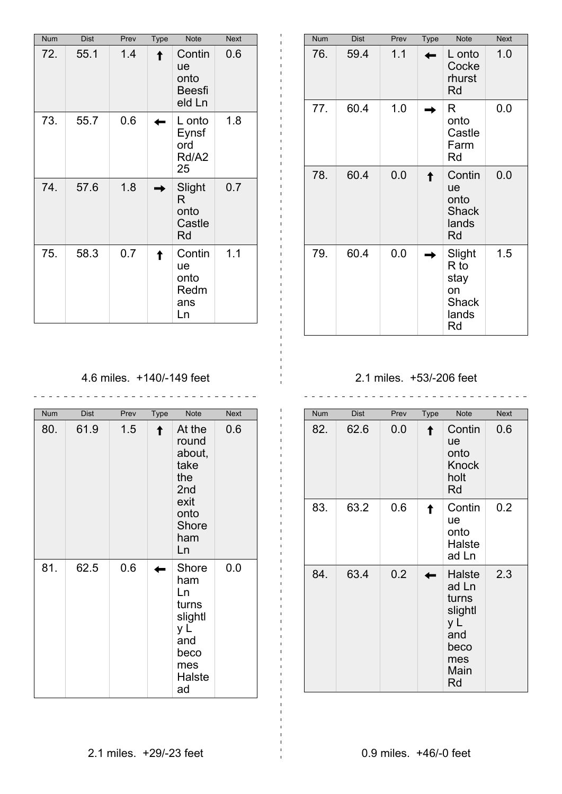| Num | <b>Dist</b> | Prev | <b>Type</b> | <b>Note</b>                                     | <b>Next</b> |
|-----|-------------|------|-------------|-------------------------------------------------|-------------|
| 72. | 55.1        | 1.4  |             | Contin<br>ue<br>onto<br><b>Beesfi</b><br>eld Ln | 0.6         |
| 73. | 55.7        | 0.6  |             | L onto<br>Eynsf<br>ord<br>Rd/A2<br>25           | 1.8         |
| 74. | 57.6        | 1.8  |             | Slight<br>R<br>onto<br>Castle<br>Rd             | 0.7         |
| 75. | 58.3        | 0.7  |             | Contin<br>ue<br>onto<br>Redm<br>ans<br>Ln       | 1.1         |

| <b>Num</b> | <b>Dist</b> | Prev | <b>Type</b> | <b>Note</b>                                                   | <b>Next</b> |
|------------|-------------|------|-------------|---------------------------------------------------------------|-------------|
| 76.        | 59.4        | 1.1  |             | L onto<br>Cocke<br>rhurst<br><b>Rd</b>                        | 1.0         |
| 77.        | 60.4        | 1.0  |             | R<br>onto<br>Castle<br>Farm<br>Rd                             | 0.0         |
| 78.        | 60.4        | 0.0  |             | Contin<br>ue<br>onto<br><b>Shack</b><br>lands<br><b>Rd</b>    | 0.0         |
| 79.        | 60.4        | 0.0  |             | Slight<br>$R$ to<br>stay<br>on<br><b>Shack</b><br>lands<br>Rd | 1.5         |

4.6 miles. +140/-149 feet

| Num | <b>Dist</b> | Prev | Type | <b>Note</b>                                                                                | <b>Next</b> |
|-----|-------------|------|------|--------------------------------------------------------------------------------------------|-------------|
| 80. | 61.9        | 1.5  |      | At the<br>round<br>about,<br>take<br>the<br>2nd<br>exit<br>onto<br>Shore<br>ham<br>Ln      | 0.6         |
| 81. | 62.5        | 0.6  |      | Shore<br>ham<br>Ln<br>turns<br>slightl<br>y L<br>and<br>beco<br>mes<br><b>Halste</b><br>ad | 0.0         |

### 2.1 miles. +53/-206 feet

<u>. . . . . . . .</u>

| Num | <b>Dist</b> | Prev | Type | <b>Note</b>                                                                    | <b>Next</b> |
|-----|-------------|------|------|--------------------------------------------------------------------------------|-------------|
| 82. | 62.6        | 0.0  |      | Contin<br>ue<br>onto<br><b>Knock</b><br>holt<br>Rd                             | 0.6         |
| 83. | 63.2        | 0.6  |      | Contin<br>ue<br>onto<br>Halste<br>ad Ln                                        | 0.2         |
| 84. | 63.4        | 0.2  |      | Halste<br>ad Ln<br>turns<br>slightl<br>y L<br>and<br>beco<br>mes<br>Main<br>Rd | 2.3         |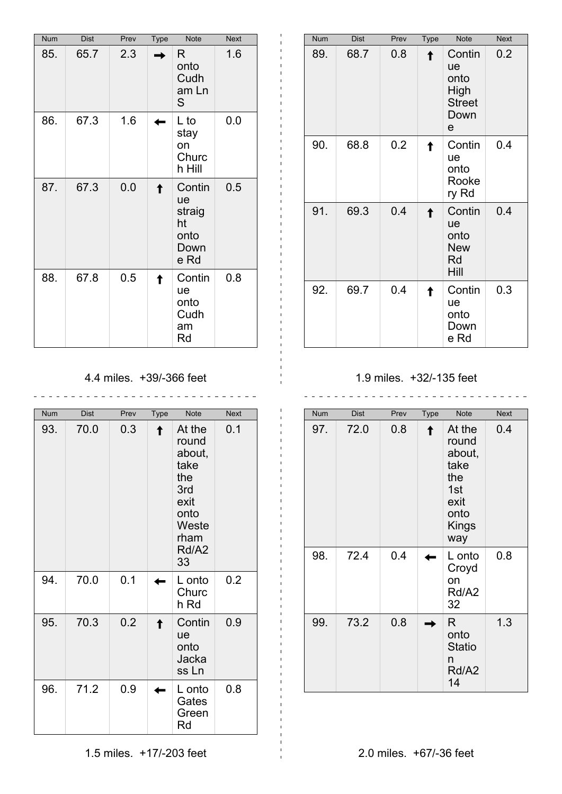| Num | <b>Dist</b> | Prev | <b>Type</b> | Note                                                 | <b>Next</b> |
|-----|-------------|------|-------------|------------------------------------------------------|-------------|
| 85. | 65.7        | 2.3  |             | R<br>onto<br>Cudh<br>am Ln<br>S                      | 1.6         |
| 86. | 67.3        | 1.6  |             | L to<br>stay<br>on<br>Churc<br>h Hill                | 0.0         |
| 87. | 67.3        | 0.0  |             | Contin<br>ue<br>straig<br>ht<br>onto<br>Down<br>e Rd | 0.5         |
| 88. | 67.8        | 0.5  |             | Contin<br>ue<br>onto<br>Cudh<br>am<br>Rd             | 0.8         |

| <b>Num</b> | <b>Dist</b> | Prev | <b>Type</b> | <b>Note</b>                                                | <b>Next</b> |
|------------|-------------|------|-------------|------------------------------------------------------------|-------------|
| 89.        | 68.7        | 0.8  |             | Contin<br>ue<br>onto<br>High<br><b>Street</b><br>Down<br>e | 0.2         |
| 90.        | 68.8        | 0.2  |             | Contin<br>ue<br>onto<br>Rooke<br>ry Rd                     | 0.4         |
| 91.        | 69.3        | 0.4  |             | Contin<br>ue<br>onto<br><b>New</b><br>Rd<br>Hill           | 0.4         |
| 92.        | 69.7        | 0.4  |             | Contin<br>ue<br>onto<br>Down<br>e Rd                       | 0.3         |

4.4 miles. +39/-366 feet

| <b>Num</b> | <b>Dist</b> | Prev | <b>Type</b> | <b>Note</b>                                                                                     | <b>Next</b> |
|------------|-------------|------|-------------|-------------------------------------------------------------------------------------------------|-------------|
| 93.        | 70.0        | 0.3  |             | At the<br>round<br>about,<br>take<br>the<br>3rd<br>exit<br>onto<br>Weste<br>rham<br>Rd/A2<br>33 | 0.1         |
| 94.        | 70.0        | 0.1  |             | L onto<br>Churc<br>h Rd                                                                         | 0.2         |
| 95.        | 70.3        | 0.2  |             | Contin<br>ue<br>onto<br>Jacka<br>ss Ln                                                          | 0.9         |
| 96.        | 71.2        | 0.9  |             | L onto<br>Gates<br>Green<br>Rd                                                                  | 0.8         |

1.9 miles. +32/-135 feet

 $\mathcal{L}$ 

| <b>Num</b> | <b>Dist</b> | Prev | <b>Type</b> | <b>Note</b>                                                                     | <b>Next</b> |
|------------|-------------|------|-------------|---------------------------------------------------------------------------------|-------------|
| 97.        | 72.0        | 0.8  |             | At the<br>round<br>about,<br>take<br>the<br>1st<br>exit<br>onto<br>Kings<br>way | 0.4         |
| 98.        | 72.4        | 0.4  |             | L onto<br>Croyd<br>on<br>Rd/A2<br>32                                            | 0.8         |
| 99.        | 73.2        | 0.8  |             | R<br>onto<br><b>Statio</b><br>n<br>Rd/A2<br>14                                  | 1.3         |